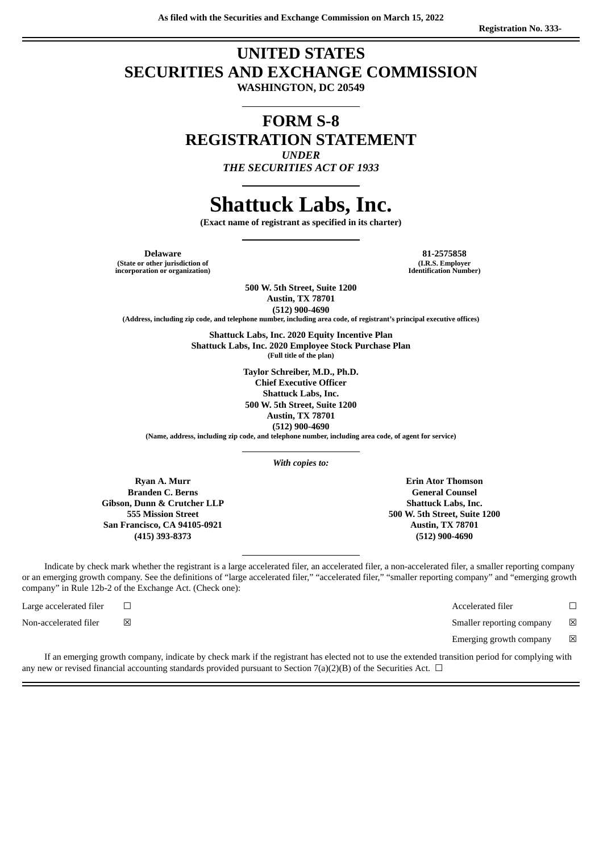## **UNITED STATES SECURITIES AND EXCHANGE COMMISSION**

**WASHINGTON, DC 20549**

## **FORM S-8 REGISTRATION STATEMENT** *UNDER*

*THE SECURITIES ACT OF 1933*

# **Shattuck Labs, Inc.**

**(Exact name of registrant as specified in its charter)**

**(State or other jurisdiction of incorporation or organization)**

**Delaware 81-2575858 (I.R.S. Employer Identification Number)**

> **500 W. 5th Street, Suite 1200 Austin, TX 78701 (512) 900-4690**

**(Address, including zip code, and telephone number, including area code, of registrant's principal executive offices)**

**Shattuck Labs, Inc. 2020 Equity Incentive Plan Shattuck Labs, Inc. 2020 Employee Stock Purchase Plan (Full title of the plan)**

> **Taylor Schreiber, M.D., Ph.D. Chief Executive Officer Shattuck Labs, Inc. 500 W. 5th Street, Suite 1200 Austin, TX 78701 (512) 900-4690**

**(Name, address, including zip code, and telephone number, including area code, of agent for service)**

*With copies to:*

**Ryan A. Murr Branden C. Berns Gibson, Dunn & Crutcher LLP 555 Mission Street San Francisco, CA 94105-0921 (415) 393-8373**

**Erin Ator Thomson General Counsel Shattuck Labs, Inc. 500 W. 5th Street, Suite 1200 Austin, TX 78701 (512) 900-4690**

Indicate by check mark whether the registrant is a large accelerated filer, an accelerated filer, a non-accelerated filer, a smaller reporting company or an emerging growth company. See the definitions of "large accelerated filer," "accelerated filer," "smaller reporting company" and "emerging growth company" in Rule 12b-2 of the Exchange Act. (Check one):

Non-accelerated filer  $□$  ⊠ smaller reporting company  $□$  Smaller reporting company  $□$ 

Large accelerated filer ☐ Accelerated filer ☐

Emerging growth company  $\boxtimes$ 

If an emerging growth company, indicate by check mark if the registrant has elected not to use the extended transition period for complying with any new or revised financial accounting standards provided pursuant to Section 7(a)(2)(B) of the Securities Act.  $\Box$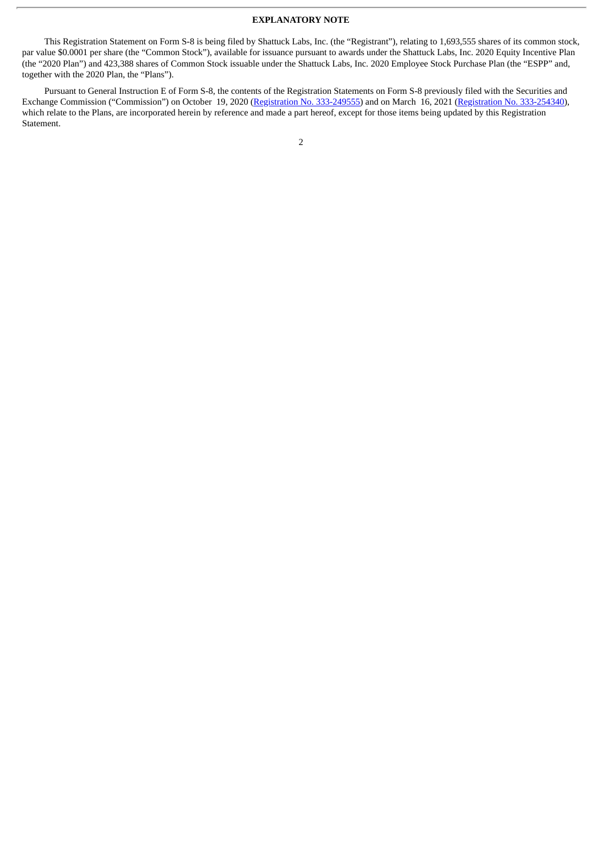#### **EXPLANATORY NOTE**

This Registration Statement on Form S-8 is being filed by Shattuck Labs, Inc. (the "Registrant"), relating to 1,693,555 shares of its common stock, par value \$0.0001 per share (the "Common Stock"), available for issuance pursuant to awards under the Shattuck Labs, Inc. 2020 Equity Incentive Plan (the "2020 Plan") and 423,388 shares of Common Stock issuable under the Shattuck Labs, Inc. 2020 Employee Stock Purchase Plan (the "ESPP" and, together with the 2020 Plan, the "Plans").

Pursuant to General Instruction E of Form S-8, the contents of the Registration Statements on Form S-8 previously filed with the Securities and Exchange Commission ("Commission") on October 19, 2020 (Registration No. [333-249555\)](http://www.sec.gov/Archives/edgar/data/1680367/000119312520272169/d91773ds8.htm) and on March 16, 2021 [\(Registration](http://www.sec.gov/Archives/edgar/data/1680367/000119312521082783/d74744ds8.htm) No. 333-254340), which relate to the Plans, are incorporated herein by reference and made a part hereof, except for those items being updated by this Registration Statement.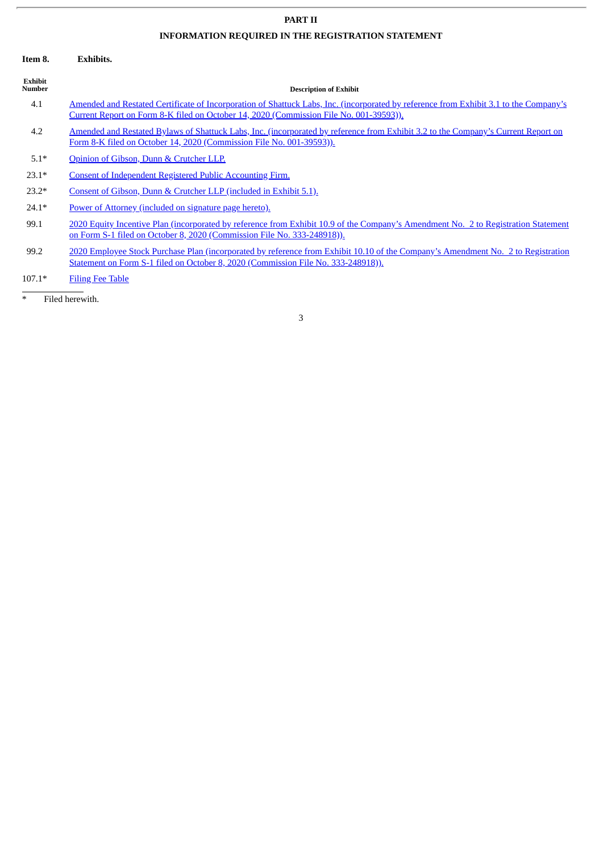## **PART II**

ł.

## **INFORMATION REQUIRED IN THE REGISTRATION STATEMENT**

| Item 8.                   | <b>Exhibits.</b>                                                                                                                                                                                                                |  |  |  |  |
|---------------------------|---------------------------------------------------------------------------------------------------------------------------------------------------------------------------------------------------------------------------------|--|--|--|--|
| Exhibit<br><b>Number</b>  | <b>Description of Exhibit</b>                                                                                                                                                                                                   |  |  |  |  |
| 4.1                       | Amended and Restated Certificate of Incorporation of Shattuck Labs, Inc. (incorporated by reference from Exhibit 3.1 to the Company's<br>Current Report on Form 8-K filed on October 14, 2020 (Commission File No. 001-39593)). |  |  |  |  |
| 4.2                       | Amended and Restated Bylaws of Shattuck Labs, Inc. (incorporated by reference from Exhibit 3.2 to the Company's Current Report on<br>Form 8-K filed on October 14, 2020 (Commission File No. 001-39593)).                       |  |  |  |  |
| $5.1*$                    | Opinion of Gibson, Dunn & Crutcher LLP.                                                                                                                                                                                         |  |  |  |  |
| $23.1*$                   | <b>Consent of Independent Registered Public Accounting Firm.</b>                                                                                                                                                                |  |  |  |  |
| $23.2*$                   | Consent of Gibson, Dunn & Crutcher LLP (included in Exhibit 5.1).                                                                                                                                                               |  |  |  |  |
| $24.1*$                   | Power of Attorney (included on signature page hereto).                                                                                                                                                                          |  |  |  |  |
| 99.1                      | 2020 Equity Incentive Plan (incorporated by reference from Exhibit 10.9 of the Company's Amendment No. 2 to Registration Statement<br>on Form S-1 filed on October 8, 2020 (Commission File No. 333-248918)).                   |  |  |  |  |
| 99.2                      | 2020 Employee Stock Purchase Plan (incorporated by reference from Exhibit 10.10 of the Company's Amendment No. 2 to Registration<br>Statement on Form S-1 filed on October 8, 2020 (Commission File No. 333-248918)).           |  |  |  |  |
| $107.1*$                  | <b>Filing Fee Table</b>                                                                                                                                                                                                         |  |  |  |  |
| $\ast$<br>Filed herewith. |                                                                                                                                                                                                                                 |  |  |  |  |
|                           | 3                                                                                                                                                                                                                               |  |  |  |  |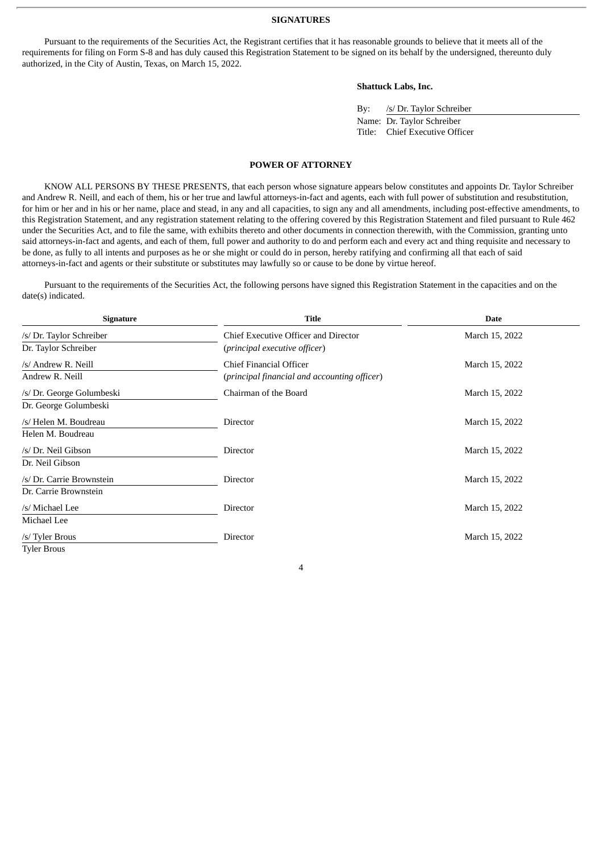#### **SIGNATURES**

<span id="page-3-0"></span>Pursuant to the requirements of the Securities Act, the Registrant certifies that it has reasonable grounds to believe that it meets all of the requirements for filing on Form S-8 and has duly caused this Registration Statement to be signed on its behalf by the undersigned, thereunto duly authorized, in the City of Austin, Texas, on March 15, 2022.

#### **Shattuck Labs, Inc.**

| By: | /s/ Dr. Taylor Schreiber       |
|-----|--------------------------------|
|     | Name: Dr. Taylor Schreiber     |
|     | Title: Chief Executive Officer |

#### **POWER OF ATTORNEY**

KNOW ALL PERSONS BY THESE PRESENTS, that each person whose signature appears below constitutes and appoints Dr. Taylor Schreiber and Andrew R. Neill, and each of them, his or her true and lawful attorneys-in-fact and agents, each with full power of substitution and resubstitution, for him or her and in his or her name, place and stead, in any and all capacities, to sign any and all amendments, including post-effective amendments, to this Registration Statement, and any registration statement relating to the offering covered by this Registration Statement and filed pursuant to Rule 462 under the Securities Act, and to file the same, with exhibits thereto and other documents in connection therewith, with the Commission, granting unto said attorneys-in-fact and agents, and each of them, full power and authority to do and perform each and every act and thing requisite and necessary to be done, as fully to all intents and purposes as he or she might or could do in person, hereby ratifying and confirming all that each of said attorneys-in-fact and agents or their substitute or substitutes may lawfully so or cause to be done by virtue hereof.

Pursuant to the requirements of the Securities Act, the following persons have signed this Registration Statement in the capacities and on the date(s) indicated.

| <b>Signature</b>          | <b>Title</b>                                 | <b>Date</b>    |  |
|---------------------------|----------------------------------------------|----------------|--|
| /s/ Dr. Taylor Schreiber  | Chief Executive Officer and Director         | March 15, 2022 |  |
| Dr. Taylor Schreiber      | (principal executive officer)                |                |  |
| /s/ Andrew R. Neill       | Chief Financial Officer                      | March 15, 2022 |  |
| Andrew R. Neill           | (principal financial and accounting officer) |                |  |
| /s/ Dr. George Golumbeski | Chairman of the Board                        | March 15, 2022 |  |
| Dr. George Golumbeski     |                                              |                |  |
| /s/ Helen M. Boudreau     | <b>Director</b>                              | March 15, 2022 |  |
| Helen M. Boudreau         |                                              |                |  |
| /s/ Dr. Neil Gibson       | Director                                     | March 15, 2022 |  |
| Dr. Neil Gibson           |                                              |                |  |
| /s/ Dr. Carrie Brownstein | Director                                     | March 15, 2022 |  |
| Dr. Carrie Brownstein     |                                              |                |  |
| /s/ Michael Lee           | Director                                     | March 15, 2022 |  |
| Michael Lee               |                                              |                |  |
| /s/ Tyler Brous           | Director                                     | March 15, 2022 |  |
| <b>Tyler Brous</b>        |                                              |                |  |

4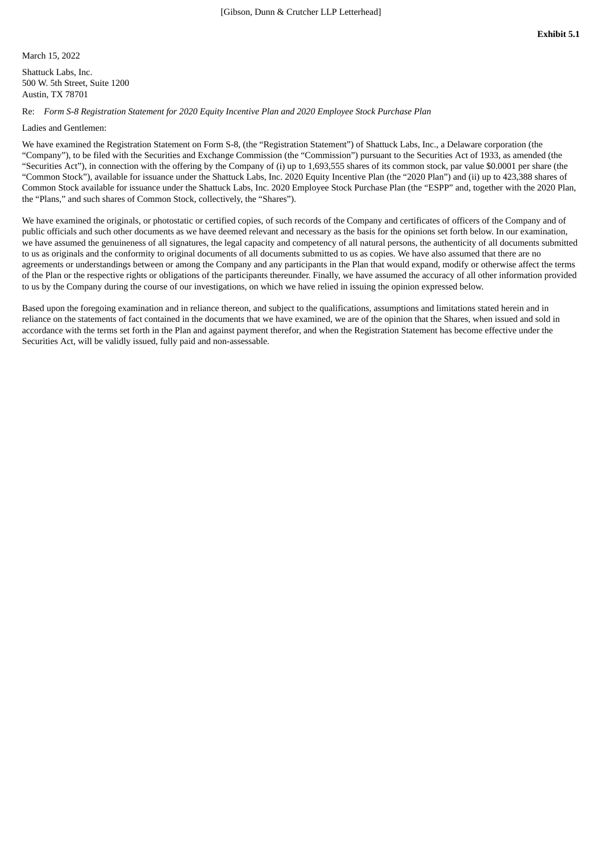<span id="page-4-0"></span>March 15, 2022

Shattuck Labs, Inc. 500 W. 5th Street, Suite 1200 Austin, TX 78701

Re: *Form S-8 Registration Statement for 2020 Equity Incentive Plan and 2020 Employee Stock Purchase Plan*

Ladies and Gentlemen:

We have examined the Registration Statement on Form S-8, (the "Registration Statement") of Shattuck Labs, Inc., a Delaware corporation (the "Company"), to be filed with the Securities and Exchange Commission (the "Commission") pursuant to the Securities Act of 1933, as amended (the "Securities Act"), in connection with the offering by the Company of (i) up to 1,693,555 shares of its common stock, par value \$0.0001 per share (the "Common Stock"), available for issuance under the Shattuck Labs, Inc. 2020 Equity Incentive Plan (the "2020 Plan") and (ii) up to 423,388 shares of Common Stock available for issuance under the Shattuck Labs, Inc. 2020 Employee Stock Purchase Plan (the "ESPP" and, together with the 2020 Plan, the "Plans," and such shares of Common Stock, collectively, the "Shares").

We have examined the originals, or photostatic or certified copies, of such records of the Company and certificates of officers of the Company and of public officials and such other documents as we have deemed relevant and necessary as the basis for the opinions set forth below. In our examination, we have assumed the genuineness of all signatures, the legal capacity and competency of all natural persons, the authenticity of all documents submitted to us as originals and the conformity to original documents of all documents submitted to us as copies. We have also assumed that there are no agreements or understandings between or among the Company and any participants in the Plan that would expand, modify or otherwise affect the terms of the Plan or the respective rights or obligations of the participants thereunder. Finally, we have assumed the accuracy of all other information provided to us by the Company during the course of our investigations, on which we have relied in issuing the opinion expressed below.

Based upon the foregoing examination and in reliance thereon, and subject to the qualifications, assumptions and limitations stated herein and in reliance on the statements of fact contained in the documents that we have examined, we are of the opinion that the Shares, when issued and sold in accordance with the terms set forth in the Plan and against payment therefor, and when the Registration Statement has become effective under the Securities Act, will be validly issued, fully paid and non-assessable.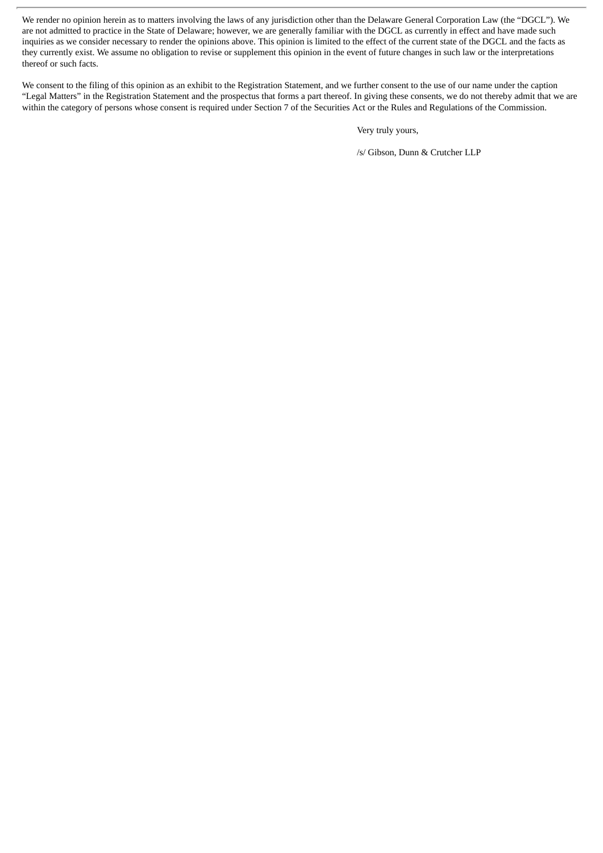We render no opinion herein as to matters involving the laws of any jurisdiction other than the Delaware General Corporation Law (the "DGCL"). We are not admitted to practice in the State of Delaware; however, we are generally familiar with the DGCL as currently in effect and have made such inquiries as we consider necessary to render the opinions above. This opinion is limited to the effect of the current state of the DGCL and the facts as they currently exist. We assume no obligation to revise or supplement this opinion in the event of future changes in such law or the interpretations thereof or such facts.

We consent to the filing of this opinion as an exhibit to the Registration Statement, and we further consent to the use of our name under the caption "Legal Matters" in the Registration Statement and the prospectus that forms a part thereof. In giving these consents, we do not thereby admit that we are within the category of persons whose consent is required under Section 7 of the Securities Act or the Rules and Regulations of the Commission.

Very truly yours,

/s/ Gibson, Dunn & Crutcher LLP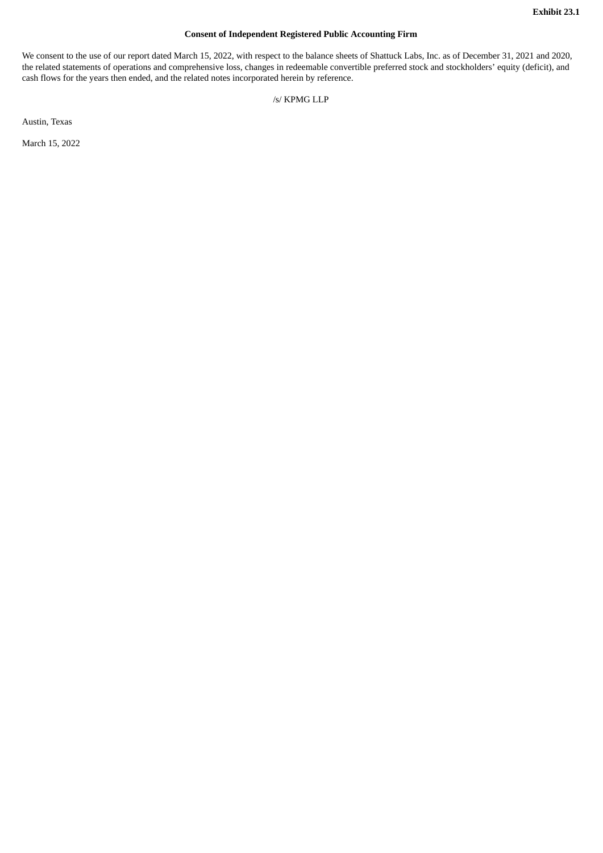#### **Consent of Independent Registered Public Accounting Firm**

<span id="page-6-0"></span>We consent to the use of our report dated March 15, 2022, with respect to the balance sheets of Shattuck Labs, Inc. as of December 31, 2021 and 2020, the related statements of operations and comprehensive loss, changes in redeemable convertible preferred stock and stockholders' equity (deficit), and cash flows for the years then ended, and the related notes incorporated herein by reference.

/s/ KPMG LLP

Austin, Texas

March 15, 2022